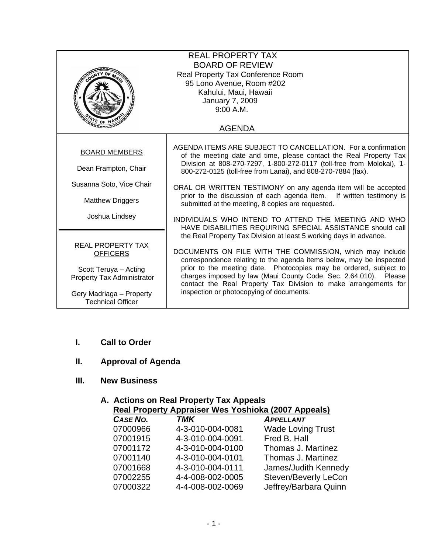|                            | <b>REAL PROPERTY TAX</b>                                                                                                              |  |
|----------------------------|---------------------------------------------------------------------------------------------------------------------------------------|--|
|                            | <b>BOARD OF REVIEW</b>                                                                                                                |  |
|                            | Real Property Tax Conference Room                                                                                                     |  |
|                            | 95 Lono Avenue, Room #202                                                                                                             |  |
|                            | Kahului, Maui, Hawaii                                                                                                                 |  |
| January 7, 2009            |                                                                                                                                       |  |
|                            | 9:00 A.M.                                                                                                                             |  |
| $\sqrt[3]{r_{E}}$ OF H     |                                                                                                                                       |  |
| <b>AGENDA</b>              |                                                                                                                                       |  |
|                            |                                                                                                                                       |  |
| <b>BOARD MEMBERS</b>       | AGENDA ITEMS ARE SUBJECT TO CANCELLATION. For a confirmation                                                                          |  |
|                            | of the meeting date and time, please contact the Real Property Tax                                                                    |  |
| Dean Frampton, Chair       | Division at 808-270-7297, 1-800-272-0117 (toll-free from Molokai), 1-<br>800-272-0125 (toll-free from Lanai), and 808-270-7884 (fax). |  |
|                            |                                                                                                                                       |  |
| Susanna Soto, Vice Chair   | ORAL OR WRITTEN TESTIMONY on any agenda item will be accepted                                                                         |  |
|                            | prior to the discussion of each agenda item. If written testimony is                                                                  |  |
| <b>Matthew Driggers</b>    | submitted at the meeting, 8 copies are requested.                                                                                     |  |
| Joshua Lindsey             |                                                                                                                                       |  |
|                            | INDIVIDUALS WHO INTEND TO ATTEND THE MEETING AND WHO<br>HAVE DISABILITIES REQUIRING SPECIAL ASSISTANCE should call                    |  |
|                            | the Real Property Tax Division at least 5 working days in advance.                                                                    |  |
| REAL PROPERTY TAX          |                                                                                                                                       |  |
| <b>OFFICERS</b>            | DOCUMENTS ON FILE WITH THE COMMISSION, which may include                                                                              |  |
|                            | correspondence relating to the agenda items below, may be inspected                                                                   |  |
| Scott Teruya - Acting      | prior to the meeting date. Photocopies may be ordered, subject to                                                                     |  |
| Property Tax Administrator | charges imposed by law (Maui County Code, Sec. 2.64.010). Please                                                                      |  |
|                            | contact the Real Property Tax Division to make arrangements for                                                                       |  |
| Gery Madriaga - Property   | inspection or photocopying of documents.                                                                                              |  |
| <b>Technical Officer</b>   |                                                                                                                                       |  |

### **I. Call to Order**

## **II. Approval of Agenda**

## **III. New Business**

#### **A. Actions on Real Property Tax Appeals Real Property Appraiser Wes Yoshioka (2007 Appeals)**

| Real Fluperty Applaiser Wes Tustiluka (2007 Appeals) |                          |  |
|------------------------------------------------------|--------------------------|--|
| <b>TMK</b>                                           | <b>APPELLANT</b>         |  |
| 4-3-010-004-0081                                     | <b>Wade Loving Trust</b> |  |
| 4-3-010-004-0091                                     | Fred B. Hall             |  |
| 4-3-010-004-0100                                     | Thomas J. Martinez       |  |
| 4-3-010-004-0101                                     | Thomas J. Martinez       |  |
| 4-3-010-004-0111                                     | James/Judith Kennedy     |  |
| 4-4-008-002-0005                                     | Steven/Beverly LeCon     |  |
| 4-4-008-002-0069                                     | Jeffrey/Barbara Quinn    |  |
|                                                      |                          |  |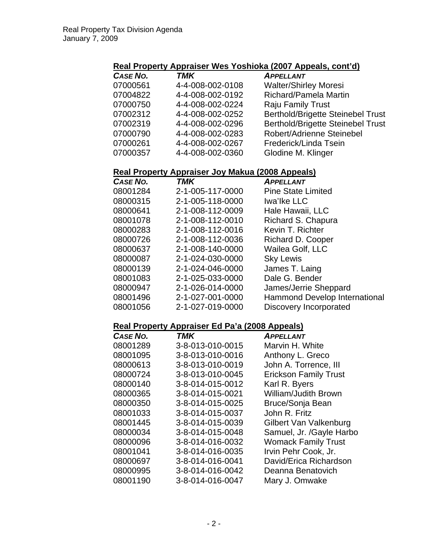## **Real Property Appraiser Wes Yoshioka (2007 Appeals, cont'd)**

| CASE NO. | <b>TMK</b>       | <b>APPELLANT</b>                         |
|----------|------------------|------------------------------------------|
| 07000561 | 4-4-008-002-0108 | <b>Walter/Shirley Moresi</b>             |
| 07004822 | 4-4-008-002-0192 | Richard/Pamela Martin                    |
| 07000750 | 4-4-008-002-0224 | <b>Raju Family Trust</b>                 |
| 07002312 | 4-4-008-002-0252 | <b>Berthold/Brigette Steinebel Trust</b> |
| 07002319 | 4-4-008-002-0296 | <b>Berthold/Brigette Steinebel Trust</b> |
| 07000790 | 4-4-008-002-0283 | Robert/Adrienne Steinebel                |
| 07000261 | 4-4-008-002-0267 | Frederick/Linda Tsein                    |
| 07000357 | 4-4-008-002-0360 | Glodine M. Klinger                       |

# **Real Property Appraiser Joy Makua (2008 Appeals)**

| <b>CASE NO.</b> | <b>TMK</b>       | APPELLANT                     |
|-----------------|------------------|-------------------------------|
| 08001284        | 2-1-005-117-0000 | <b>Pine State Limited</b>     |
| 08000315        | 2-1-005-118-0000 | Iwa'lke LLC                   |
| 08000641        | 2-1-008-112-0009 | Hale Hawaii, LLC              |
| 08001078        | 2-1-008-112-0010 | Richard S. Chapura            |
| 08000283        | 2-1-008-112-0016 | Kevin T. Richter              |
| 08000726        | 2-1-008-112-0036 | Richard D. Cooper             |
| 08000637        | 2-1-008-140-0000 | Wailea Golf, LLC              |
| 08000087        | 2-1-024-030-0000 | <b>Sky Lewis</b>              |
| 08000139        | 2-1-024-046-0000 | James T. Laing                |
| 08001083        | 2-1-025-033-0000 | Dale G. Bender                |
| 08000947        | 2-1-026-014-0000 | James/Jerrie Sheppard         |
| 08001496        | 2-1-027-001-0000 | Hammond Develop International |
| 08001056        | 2-1-027-019-0000 | Discovery Incorporated        |

### **Real Property Appraiser Ed Pa'a (2008 Appeals)**

| <b>CASE NO.</b> | <b>TMK</b>       | <b>APPELLANT</b>             |
|-----------------|------------------|------------------------------|
| 08001289        | 3-8-013-010-0015 | Marvin H. White              |
| 08001095        | 3-8-013-010-0016 | Anthony L. Greco             |
| 08000613        | 3-8-013-010-0019 | John A. Torrence, III        |
| 08000724        | 3-8-013-010-0045 | <b>Erickson Family Trust</b> |
| 08000140        | 3-8-014-015-0012 | Karl R. Byers                |
| 08000365        | 3-8-014-015-0021 | <b>William/Judith Brown</b>  |
| 08000350        | 3-8-014-015-0025 | Bruce/Sonja Bean             |
| 08001033        | 3-8-014-015-0037 | John R. Fritz                |
| 08001445        | 3-8-014-015-0039 | Gilbert Van Valkenburg       |
| 08000034        | 3-8-014-015-0048 | Samuel, Jr. /Gayle Harbo     |
| 08000096        | 3-8-014-016-0032 | <b>Womack Family Trust</b>   |
| 08001041        | 3-8-014-016-0035 | Irvin Pehr Cook, Jr.         |
| 08000697        | 3-8-014-016-0041 | David/Erica Richardson       |
| 08000995        | 3-8-014-016-0042 | Deanna Benatovich            |
| 08001190        | 3-8-014-016-0047 | Mary J. Omwake               |